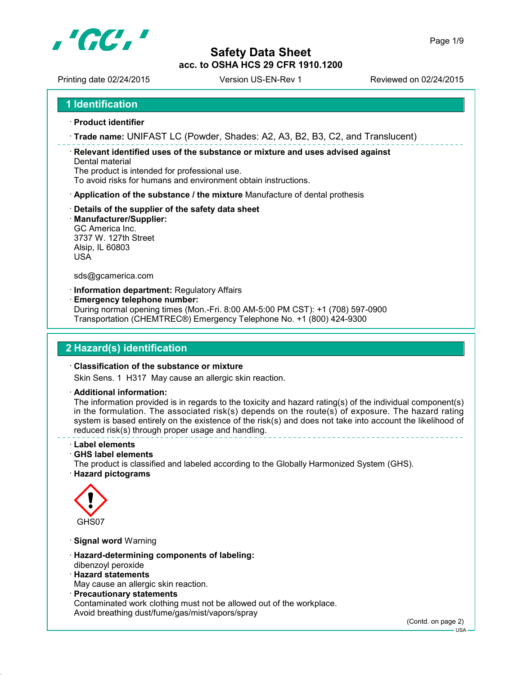

Printing date 02/24/2015 Version US-EN-Rev 1 Reviewed on 02/24/2015

- **Product identifier**
- **Trade name:** UNIFAST LC (Powder, Shades: A2, A3, B2, B3, C2, and Translucent)

 **Relevant identified uses of the substance or mixture and uses advised against** Dental material

The product is intended for professional use.

To avoid risks for humans and environment obtain instructions.

- **Application of the substance / the mixture** Manufacture of dental prothesis
- **Details of the supplier of the safety data sheet**
- **Manufacturer/Supplier:**

GC America Inc. 3737 W. 127th Street Alsip, IL 60803 USA

sds@gcamerica.com

**Information department:** Regulatory Affairs

**Emergency telephone number:**

During normal opening times (Mon.-Fri. 8:00 AM-5:00 PM CST): +1 (708) 597-0900 Transportation (CHEMTREC®) Emergency Telephone No. +1 (800) 424-9300

# **2 Hazard(s) identification**

### **Classification of the substance or mixture**

Skin Sens. 1 H317 May cause an allergic skin reaction.

**Additional information:**

The information provided is in regards to the toxicity and hazard rating(s) of the individual component(s) in the formulation. The associated risk(s) depends on the route(s) of exposure. The hazard rating system is based entirely on the existence of the risk(s) and does not take into account the likelihood of reduced risk(s) through proper usage and handling.

### **Label elements**

**GHS label elements**

The product is classified and labeled according to the Globally Harmonized System (GHS). **Hazard pictograms**



- **Signal word** Warning
- **Hazard-determining components of labeling:** dibenzoyl peroxide
- **Hazard statements** May cause an allergic skin reaction.
- **Precautionary statements** Contaminated work clothing must not be allowed out of the workplace. Avoid breathing dust/fume/gas/mist/vapors/spray

(Contd. on page 2)

USA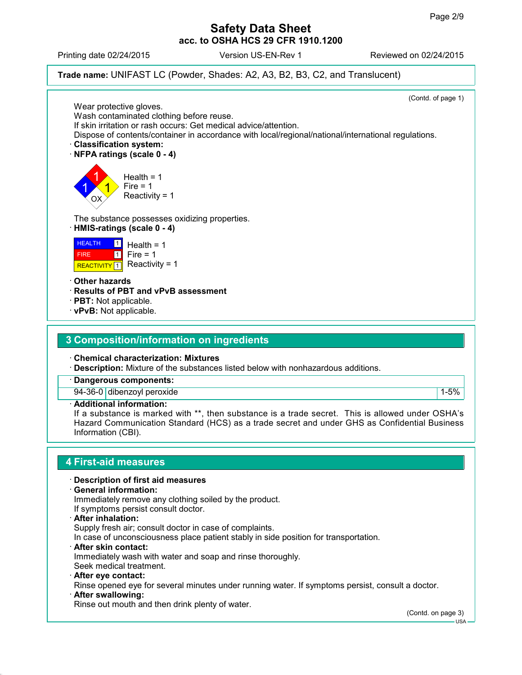Printing date 02/24/2015 Version US-EN-Rev 1 Reviewed on 02/24/2015



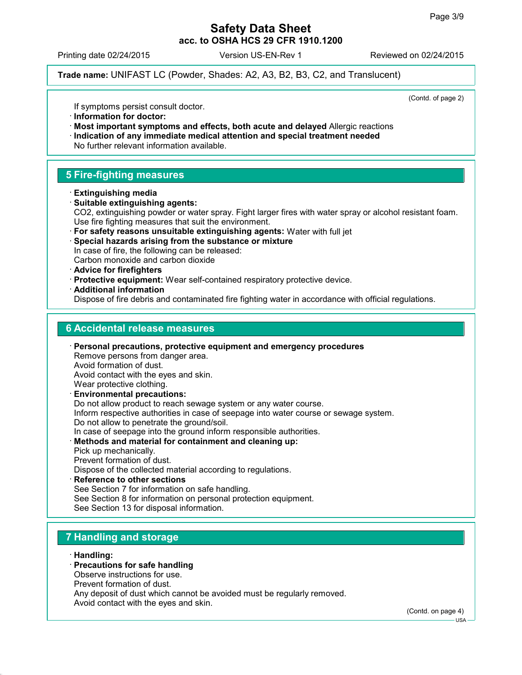Printing date 02/24/2015 Version US-EN-Rev 1 Reviewed on 02/24/2015

**Trade name:** UNIFAST LC (Powder, Shades: A2, A3, B2, B3, C2, and Translucent)

(Contd. of page 2)

If symptoms persist consult doctor.

- **Information for doctor:**
- **Most important symptoms and effects, both acute and delayed** Allergic reactions
- **Indication of any immediate medical attention and special treatment needed** No further relevant information available.

# **5 Fire-fighting measures**

- **Extinguishing media**
- **Suitable extinguishing agents:** CO2, extinguishing powder or water spray. Fight larger fires with water spray or alcohol resistant foam. Use fire fighting measures that suit the environment.
- **For safety reasons unsuitable extinguishing agents:** Water with full jet
- **Special hazards arising from the substance or mixture** In case of fire, the following can be released: Carbon monoxide and carbon dioxide
- **Advice for firefighters**
- **Protective equipment:** Wear self-contained respiratory protective device.
- **Additional information** Dispose of fire debris and contaminated fire fighting water in accordance with official regulations.

## **6 Accidental release measures**

- **Personal precautions, protective equipment and emergency procedures** Remove persons from danger area. Avoid formation of dust. Avoid contact with the eyes and skin. Wear protective clothing. **Environmental precautions:** Do not allow product to reach sewage system or any water course. Inform respective authorities in case of seepage into water course or sewage system. Do not allow to penetrate the ground/soil. In case of seepage into the ground inform responsible authorities. **Methods and material for containment and cleaning up:** Pick up mechanically. Prevent formation of dust. Dispose of the collected material according to regulations.
- **Reference to other sections** See Section 7 for information on safe handling. See Section 8 for information on personal protection equipment. See Section 13 for disposal information.

# **7 Handling and storage**

## **Handling:**

## **Precautions for safe handling**

- Observe instructions for use.
- Prevent formation of dust.
- Any deposit of dust which cannot be avoided must be regularly removed.

Avoid contact with the eyes and skin.

(Contd. on page 4)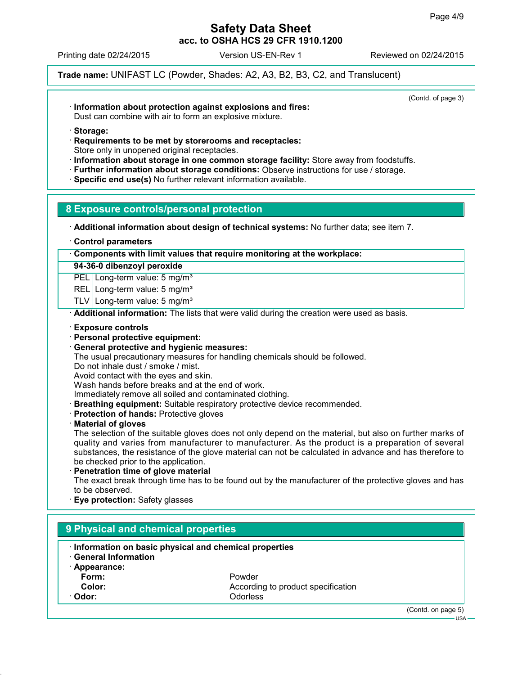(Contd. of page 3)

## **Safety Data Sheet acc. to OSHA HCS 29 CFR 1910.1200**

Printing date 02/24/2015 Version US-EN-Rev 1 Reviewed on 02/24/2015

**Trade name:** UNIFAST LC (Powder, Shades: A2, A3, B2, B3, C2, and Translucent)

**Information about protection against explosions and fires:**

Dust can combine with air to form an explosive mixture.

- **Storage:**
- **Requirements to be met by storerooms and receptacles:** Store only in unopened original receptacles.
- **Information about storage in one common storage facility:** Store away from foodstuffs.
- **Further information about storage conditions:** Observe instructions for use / storage.
- **Specific end use(s)** No further relevant information available.

## **8 Exposure controls/personal protection**

**Additional information about design of technical systems:** No further data; see item 7.

**Control parameters**

**Components with limit values that require monitoring at the workplace:**

**94-36-0 dibenzoyl peroxide**

PEL Long-term value: 5 mg/m<sup>3</sup>

REL Long-term value: 5 mg/m<sup>3</sup>

TLV Long-term value: 5 mg/m<sup>3</sup>

**Additional information:** The lists that were valid during the creation were used as basis.

**Exposure controls**

- **Personal protective equipment:**
- **General protective and hygienic measures:**

The usual precautionary measures for handling chemicals should be followed.

Do not inhale dust / smoke / mist.

Avoid contact with the eyes and skin.

Wash hands before breaks and at the end of work.

Immediately remove all soiled and contaminated clothing.

- **Breathing equipment:** Suitable respiratory protective device recommended.
- **Protection of hands:** Protective gloves
- **Material of gloves**

The selection of the suitable gloves does not only depend on the material, but also on further marks of quality and varies from manufacturer to manufacturer. As the product is a preparation of several substances, the resistance of the glove material can not be calculated in advance and has therefore to be checked prior to the application.

**Penetration time of glove material**

The exact break through time has to be found out by the manufacturer of the protective gloves and has to be observed.

**Eye protection:** Safety glasses

|                            | Information on basic physical and chemical properties |  |
|----------------------------|-------------------------------------------------------|--|
| <b>General Information</b> |                                                       |  |
| $\cdot$ Appearance:        |                                                       |  |
| Form:                      | Powder                                                |  |
| Color:                     | According to product specification                    |  |
| · Odor:                    | <b>Odorless</b>                                       |  |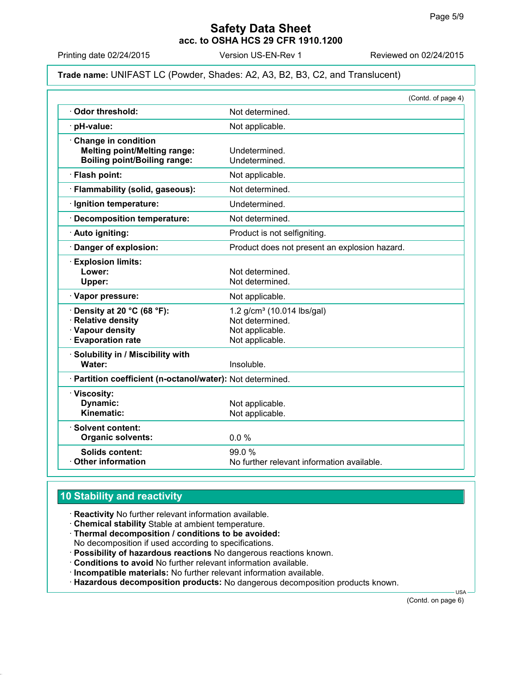Printing date 02/24/2015 Version US-EN-Rev 1 Reviewed on 02/24/2015

## **Trade name:** UNIFAST LC (Powder, Shades: A2, A3, B2, B3, C2, and Translucent)

|                                                                                                        | (Contd. of page 4)                                                                     |
|--------------------------------------------------------------------------------------------------------|----------------------------------------------------------------------------------------|
| Odor threshold:                                                                                        | Not determined.                                                                        |
| · pH-value:                                                                                            | Not applicable.                                                                        |
| Change in condition<br><b>Melting point/Melting range:</b><br><b>Boiling point/Boiling range:</b>      | Undetermined.<br>Undetermined.                                                         |
| · Flash point:                                                                                         | Not applicable.                                                                        |
| · Flammability (solid, gaseous):                                                                       | Not determined.                                                                        |
| · Ignition temperature:                                                                                | Undetermined.                                                                          |
| · Decomposition temperature:                                                                           | Not determined.                                                                        |
| · Auto igniting:                                                                                       | Product is not selfigniting.                                                           |
| Danger of explosion:                                                                                   | Product does not present an explosion hazard.                                          |
| <b>Explosion limits:</b><br>Lower:<br>Upper:                                                           | Not determined.<br>Not determined.                                                     |
| · Vapor pressure:                                                                                      | Not applicable.                                                                        |
| $\cdot$ Density at 20 °C (68 °F):<br>· Relative density<br>· Vapour density<br><b>Evaporation rate</b> | 1.2 $g/cm^3$ (10.014 lbs/gal)<br>Not determined.<br>Not applicable.<br>Not applicable. |
| Solubility in / Miscibility with<br>Water:                                                             | Insoluble.                                                                             |
| · Partition coefficient (n-octanol/water): Not determined.                                             |                                                                                        |
| · Viscosity:<br>Dynamic:<br>Kinematic:                                                                 | Not applicable.<br>Not applicable.                                                     |
| · Solvent content:<br><b>Organic solvents:</b>                                                         | 0.0%                                                                                   |
| <b>Solids content:</b><br><b>Other information</b>                                                     | 99.0 %<br>No further relevant information available.                                   |

# **10 Stability and reactivity**

- **Reactivity** No further relevant information available.
- **Chemical stability** Stable at ambient temperature.
- **Thermal decomposition / conditions to be avoided:** No decomposition if used according to specifications.
- **Possibility of hazardous reactions** No dangerous reactions known.
- **Conditions to avoid** No further relevant information available.
- **Incompatible materials:** No further relevant information available.
- **Hazardous decomposition products:** No dangerous decomposition products known.

(Contd. on page 6)

USA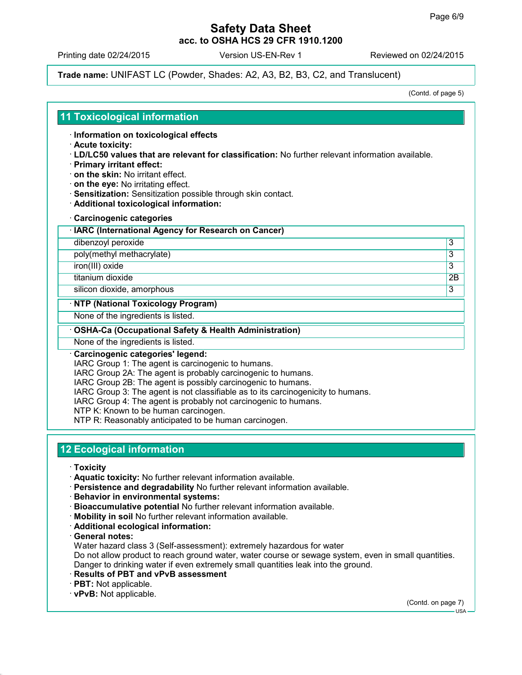Printing date 02/24/2015 Version US-EN-Rev 1 Reviewed on 02/24/2015

**Trade name:** UNIFAST LC (Powder, Shades: A2, A3, B2, B3, C2, and Translucent)

(Contd. of page 5)

## **11 Toxicological information**

**Information on toxicological effects**

- **Acute toxicity:**
- **LD/LC50 values that are relevant for classification:** No further relevant information available.
- **Primary irritant effect:**
- **on the skin:** No irritant effect.
- **on the eye:** No irritating effect.
- **Sensitization:** Sensitization possible through skin contact.
- **Additional toxicological information:**
- **Carcinogenic categories**
- **IARC (International Agency for Research on Cancer)**
- dibenzoyl peroxide 3

poly(methyl methacrylate) 3

iron(III) oxide 3

titanium dioxide 2B

silicon dioxide, amorphous 3

## **NTP (National Toxicology Program)**

None of the ingredients is listed.

## **OSHA-Ca (Occupational Safety & Health Administration)**

None of the ingredients is listed.

### **Carcinogenic categories' legend:**

IARC Group 1: The agent is carcinogenic to humans.

IARC Group 2A: The agent is probably carcinogenic to humans.

IARC Group 2B: The agent is possibly carcinogenic to humans.

IARC Group 3: The agent is not classifiable as to its carcinogenicity to humans.

IARC Group 4: The agent is probably not carcinogenic to humans.

NTP K: Known to be human carcinogen.

NTP R: Reasonably anticipated to be human carcinogen.

# **12 Ecological information**

- **Toxicity**
- **Aquatic toxicity:** No further relevant information available.
- **Persistence and degradability** No further relevant information available.
- **Behavior in environmental systems:**
- **Bioaccumulative potential** No further relevant information available.
- **Mobility in soil** No further relevant information available.
- **Additional ecological information:**

**General notes:**

Water hazard class 3 (Self-assessment): extremely hazardous for water

Do not allow product to reach ground water, water course or sewage system, even in small quantities.

Danger to drinking water if even extremely small quantities leak into the ground.

- **Results of PBT and vPvB assessment**
- **PBT:** Not applicable.
- **vPvB:** Not applicable.

(Contd. on page 7)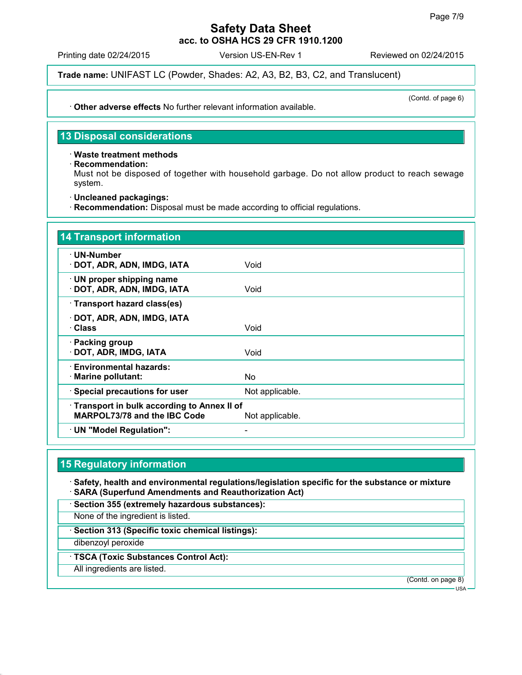Printing date 02/24/2015 Version US-EN-Rev 1 Reviewed on 02/24/2015

**Trade name:** UNIFAST LC (Powder, Shades: A2, A3, B2, B3, C2, and Translucent)

(Contd. of page 6)

**Other adverse effects** No further relevant information available.

# **13 Disposal considerations**

## **Waste treatment methods**

**Recommendation:**

Must not be disposed of together with household garbage. Do not allow product to reach sewage system.

**Uncleaned packagings:**

**Recommendation:** Disposal must be made according to official regulations.

| 14 Transport information                                                   |                 |
|----------------------------------------------------------------------------|-----------------|
| ∙ UN-Number<br>· DOT, ADR, ADN, IMDG, IATA                                 | Void            |
| $\cdot$ UN proper shipping name<br>· DOT, ADR, ADN, IMDG, IATA             | Void            |
| · Transport hazard class(es)                                               |                 |
| · DOT, ADR, ADN, IMDG, IATA<br>· Class                                     | Void            |
| · Packing group<br>· DOT, ADR, IMDG, IATA                                  | Void            |
| · Environmental hazards:<br>· Marine pollutant:                            | No.             |
| · Special precautions for user                                             | Not applicable. |
| Transport in bulk according to Annex II of<br>MARPOL73/78 and the IBC Code | Not applicable. |
| $\cdot$ UN "Model Regulation":                                             |                 |

## **15 Regulatory information**

 **Safety, health and environmental regulations/legislation specific for the substance or mixture SARA (Superfund Amendments and Reauthorization Act)**

**Section 355 (extremely hazardous substances):**

None of the ingredient is listed.

**Section 313 (Specific toxic chemical listings):**

dibenzoyl peroxide

**TSCA (Toxic Substances Control Act):**

All ingredients are listed.

(Contd. on page 8)

USA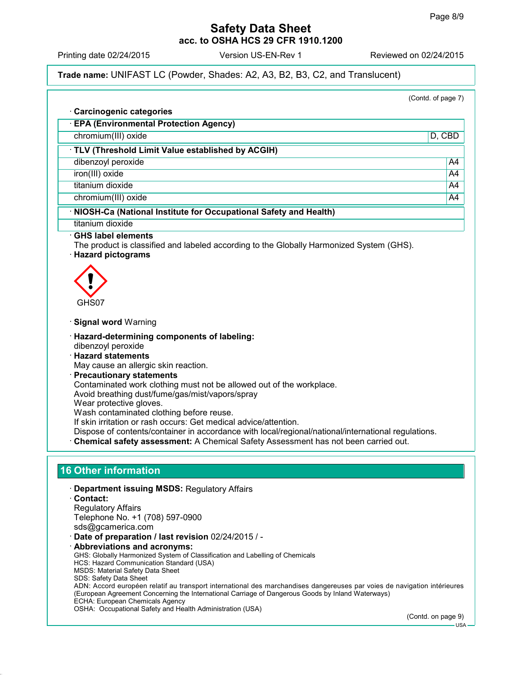(Contd. of page 7)

## **Safety Data Sheet acc. to OSHA HCS 29 CFR 1910.1200**

Printing date 02/24/2015 Version US-EN-Rev 1 Reviewed on 02/24/2015

**Trade name:** UNIFAST LC (Powder, Shades: A2, A3, B2, B3, C2, and Translucent)

 **Carcinogenic categories EPA (Environmental Protection Agency)** chromium(III) oxide D, CBD **TLV (Threshold Limit Value established by ACGIH)** dibenzoyl peroxide A4 iron(III) oxide A4 titanium dioxide A44 chromium(III) oxide A4 **NIOSH-Ca (National Institute for Occupational Safety and Health)** titanium dioxide **GHS label elements** The product is classified and labeled according to the Globally Harmonized System (GHS). **Hazard pictograms**  $\langle \cdot \rangle$ GHS07 **Signal word** Warning **Hazard-determining components of labeling:** dibenzoyl peroxide **Hazard statements** May cause an allergic skin reaction. **Precautionary statements** Contaminated work clothing must not be allowed out of the workplace. Avoid breathing dust/fume/gas/mist/vapors/spray Wear protective gloves. Wash contaminated clothing before reuse. If skin irritation or rash occurs: Get medical advice/attention. Dispose of contents/container in accordance with local/regional/national/international regulations. **Chemical safety assessment:** A Chemical Safety Assessment has not been carried out. **16 Other information Department issuing MSDS:** Regulatory Affairs **Contact:** Regulatory Affairs Telephone No. +1 (708) 597-0900 sds@gcamerica.com **Date of preparation / last revision** 02/24/2015 / - **Abbreviations and acronyms:** GHS: Globally Harmonized System of Classification and Labelling of Chemicals HCS: Hazard Communication Standard (USA) MSDS: Material Safety Data Sheet SDS: Safety Data Sheet ADN: Accord européen relatif au transport international des marchandises dangereuses par voies de navigation intérieures (European Agreement Concerning the International Carriage of Dangerous Goods by Inland Waterways) ECHA: European Chemicals Agency OSHA: Occupational Safety and Health Administration (USA) (Contd. on page 9)  $-11S_A$